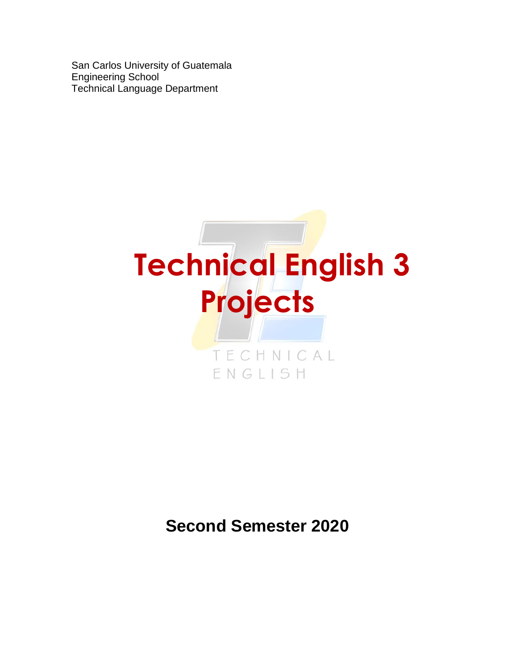San Carlos University of Guatemala Engineering School Technical Language Department



# **Second Semester 2020**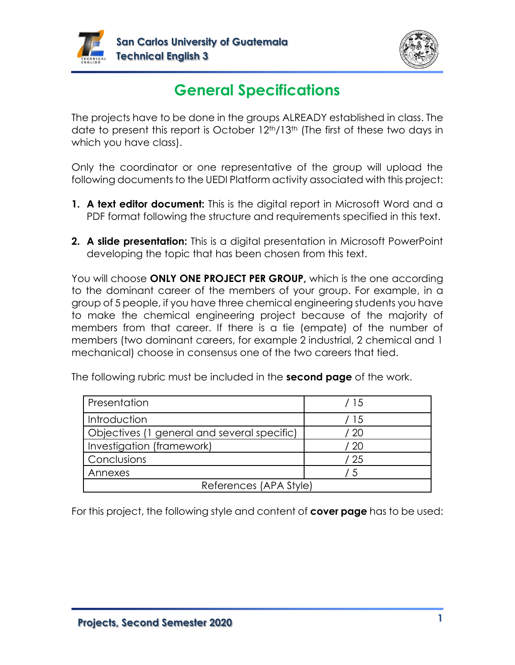



# **General Specifications**

The projects have to be done in the groups ALREADY established in class. The date to present this report is October 12th/13th (The first of these two days in which you have class).

Only the coordinator or one representative of the group will upload the following documents to the UEDI Platform activity associated with this project:

- **1. A text editor document:** This is the digital report in Microsoft Word and a PDF format following the structure and requirements specified in this text.
- **2. A slide presentation:** This is a digital presentation in Microsoft PowerPoint developing the topic that has been chosen from this text.

You will choose **ONLY ONE PROJECT PER GROUP,** which is the one according to the dominant career of the members of your group. For example, in a group of 5 people, if you have three chemical engineering students you have to make the chemical engineering project because of the majority of members from that career. If there is a tie (empate) of the number of members (two dominant careers, for example 2 industrial, 2 chemical and 1 mechanical) choose in consensus one of the two careers that tied.

| Presentation                                | / 15    |
|---------------------------------------------|---------|
| Introduction                                | 15      |
| Objectives (1 general and several specific) | 20      |
| Investigation (framework)                   | -20     |
| Conclusions                                 | / 25    |
| Annexes                                     | $\cdot$ |
| References (APA Style)                      |         |

The following rubric must be included in the **second page** of the work.

For this project, the following style and content of **cover page** has to be used: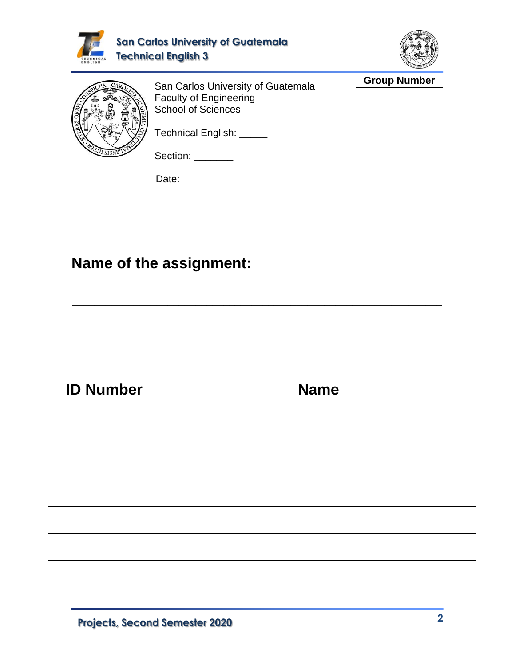

\_\_\_\_\_\_\_\_\_\_\_\_\_\_\_\_\_\_\_\_\_\_\_\_\_\_\_\_\_\_\_\_\_\_\_\_\_\_\_\_\_\_\_\_\_\_\_\_\_\_\_\_\_\_\_\_\_\_\_\_\_\_\_\_\_\_

## **Name of the assignment:**

| <b>Name</b> |
|-------------|
|             |
|             |
|             |
|             |
|             |
|             |
|             |
|             |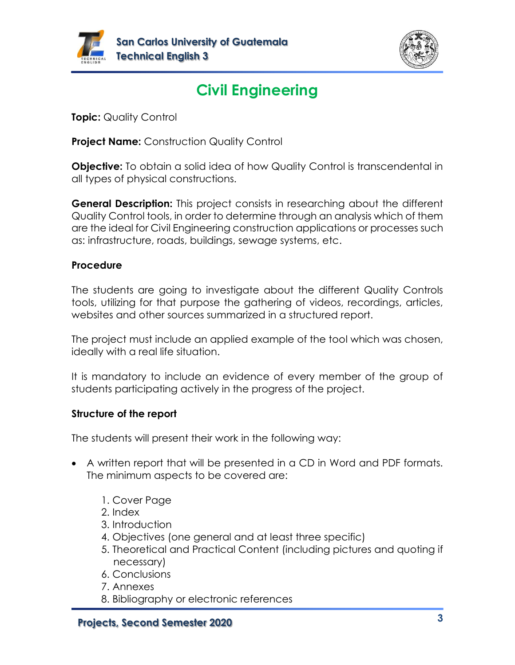



# **Civil Engineering**

**Topic:** Quality Control

**Project Name:** Construction Quality Control

**Objective:** To obtain a solid idea of how Quality Control is transcendental in all types of physical constructions.

**General Description:** This project consists in researching about the different Quality Control tools, in order to determine through an analysis which of them are the ideal for Civil Engineering construction applications or processes such as: infrastructure, roads, buildings, sewage systems, etc.

### **Procedure**

The students are going to investigate about the different Quality Controls tools, utilizing for that purpose the gathering of videos, recordings, articles, websites and other sources summarized in a structured report.

The project must include an applied example of the tool which was chosen, ideally with a real life situation.

It is mandatory to include an evidence of every member of the group of students participating actively in the progress of the project.

### **Structure of the report**

- A written report that will be presented in a CD in Word and PDF formats. The minimum aspects to be covered are:
	- 1. Cover Page
	- 2. Index
	- 3. Introduction
	- 4. Objectives (one general and at least three specific)
	- 5. Theoretical and Practical Content (including pictures and quoting if necessary)
	- 6. Conclusions
	- 7. Annexes
	- 8. Bibliography or electronic references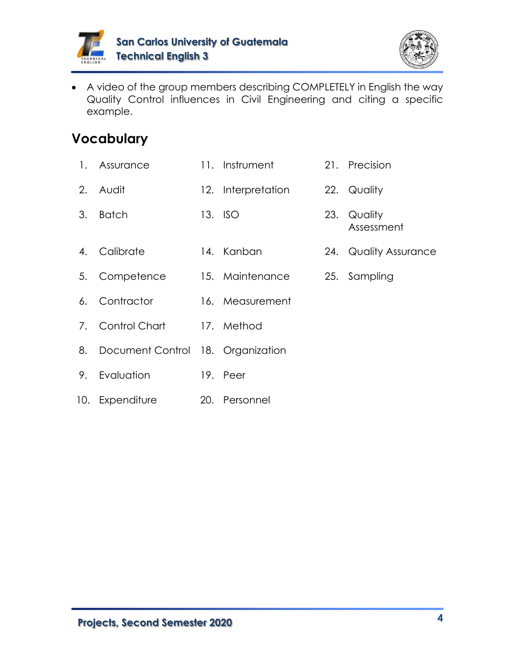



• A video of the group members describing COMPLETELY in English the way Quality Control influences in Civil Engineering and citing a specific example.

- 1. Assurance 11. Instrument 21. Precision
- 2. Audit 12. Interpretation 22. Quality
- 3. Batch 13. ISO 23. Quality
- Assessment
- 4. Calibrate 14. Kanban 24. Quality Assurance
	-
- 5. Competence 15. Maintenance 25. Sampling
- 6. Contractor 16. Measurement
- 7. Control Chart 17. Method
- 8. Document Control 18. Organization
- 9. Evaluation 19. Peer
- 10. Expenditure 20. Personnel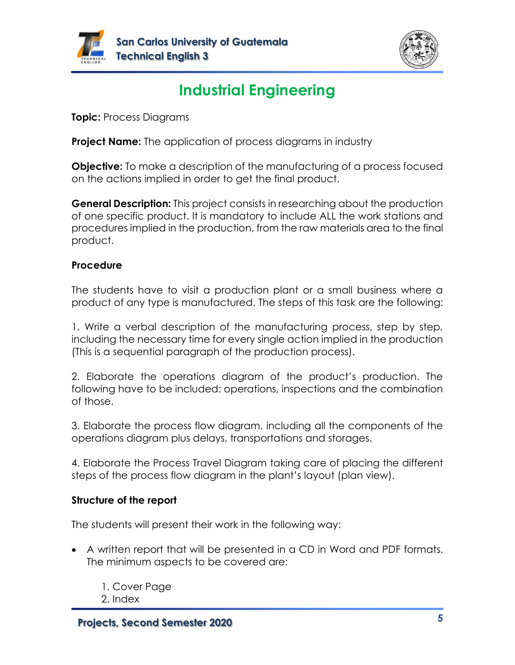



# **Industrial Engineering**

**Topic:** Process Diagrams

**Project Name:** The application of process diagrams in industry

**Objective:** To make a description of the manufacturing of a process focused on the actions implied in order to get the final product.

**General Description:** This project consists in researching about the production of one specific product. It is mandatory to include ALL the work stations and procedures implied in the production, from the raw materials area to the final product.

### **Procedure**

The students have to visit a production plant or a small business where a product of any type is manufactured. The steps of this task are the following:

1. Write a verbal description of the manufacturing process, step by step, including the necessary time for every single action implied in the production (This is a sequential paragraph of the production process).

2. Elaborate the operations diagram of the product's production. The following have to be included: operations, inspections and the combination of those.

3. Elaborate the process flow diagram, including all the components of the operations diagram plus delays, transportations and storages.

4. Elaborate the Process Travel Diagram taking care of placing the different steps of the process flow diagram in the plant's layout (plan view).

### **Structure of the report**

- A written report that will be presented in a CD in Word and PDF formats. The minimum aspects to be covered are:
	- 1. Cover Page
	- 2. Index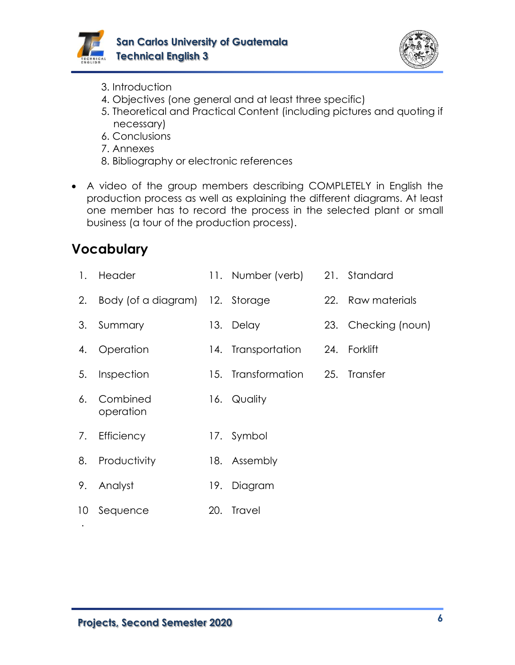



- 3. Introduction
- 4. Objectives (one general and at least three specific)
- 5. Theoretical and Practical Content (including pictures and quoting if necessary)
- 6. Conclusions
- 7. Annexes
- 8. Bibliography or electronic references
- A video of the group members describing COMPLETELY in English the production process as well as explaining the different diagrams. At least one member has to record the process in the selected plant or small business (a tour of the production process).

| $\mathbf{1}$ .  | Header                          |     | 11. Number (verb) 21. Standard |                     |
|-----------------|---------------------------------|-----|--------------------------------|---------------------|
| 2.              | Body (of a diagram) 12. Storage |     |                                | 22. Raw materials   |
| 3.              | Summary                         |     | 13. Delay                      | 23. Checking (noun) |
| 4.              | Operation                       |     | 14. Transportation             | 24. Forklift        |
| 5.              | Inspection                      |     | 15. Transformation             | 25. Transfer        |
| 6.              | Combined<br>operation           |     | 16. Quality                    |                     |
| 7.              | Efficiency                      |     | 17. Symbol                     |                     |
| 8.              | Productivity                    |     | 18. Assembly                   |                     |
| 9.              | Analyst                         | 19. | Diagram                        |                     |
| 10 <sup>°</sup> | Sequence                        |     | 20. Travel                     |                     |
|                 |                                 |     |                                |                     |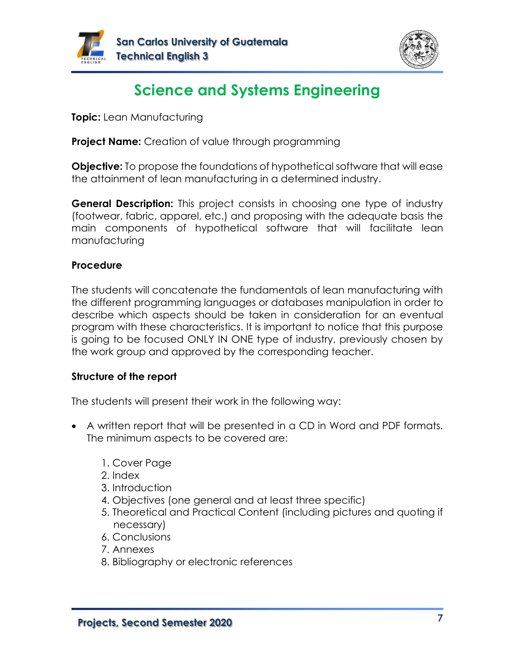



# **Science and Systems Engineering**

**Topic:** Lean Manufacturing

**Project Name:** Creation of value through programming

**Objective:** To propose the foundations of hypothetical software that will ease the attainment of lean manufacturing in a determined industry.

**General Description:** This project consists in choosing one type of industry (footwear, fabric, apparel, etc.) and proposing with the adequate basis the main components of hypothetical software that will facilitate lean manufacturing

#### **Procedure**

The students will concatenate the fundamentals of lean manufacturing with the different programming languages or databases manipulation in order to describe which aspects should be taken in consideration for an eventual program with these characteristics. It is important to notice that this purpose is going to be focused ONLY IN ONE type of industry, previously chosen by the work group and approved by the corresponding teacher.

#### **Structure of the report**

- A written report that will be presented in a CD in Word and PDF formats. The minimum aspects to be covered are:
	- 1. Cover Page
	- 2. Index
	- 3. Introduction
	- 4. Objectives (one general and at least three specific)
	- 5. Theoretical and Practical Content (including pictures and quoting if necessary)
	- 6. Conclusions
	- 7. Annexes
	- 8. Bibliography or electronic references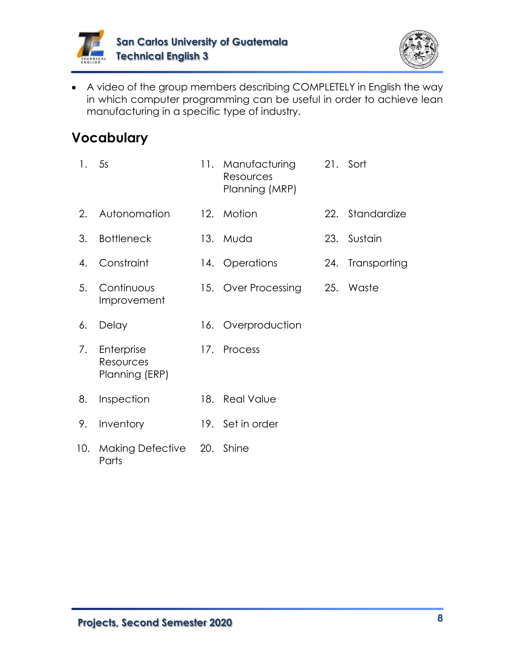



• A video of the group members describing COMPLETELY in English the way in which computer programming can be useful in order to achieve lean manufacturing in a specific type of industry.

| 1.  | 5s                                        |     | 11. Manufacturing<br>Resources<br>Planning (MRP) | 21. Sort         |
|-----|-------------------------------------------|-----|--------------------------------------------------|------------------|
| 2.  | Autonomation                              |     | 12. Motion                                       | 22. Standardize  |
| 3.  | <b>Bottleneck</b>                         |     | 13. Muda                                         | 23. Sustain      |
| 4.  | Constraint                                |     | 14. Operations                                   | 24. Transporting |
| 5.  | Continuous<br>Improvement                 |     | 15. Over Processing                              | 25. Waste        |
| 6.  | Delay                                     |     | 16. Overproduction                               |                  |
| 7.  | Enterprise<br>Resources<br>Planning (ERP) |     | 17. Process                                      |                  |
| 8.  | Inspection                                | 18. | <b>Real Value</b>                                |                  |
| 9.  | Inventory                                 |     | 19. Set in order                                 |                  |
| 10. | Making Defective 20. Shine<br>Parts       |     |                                                  |                  |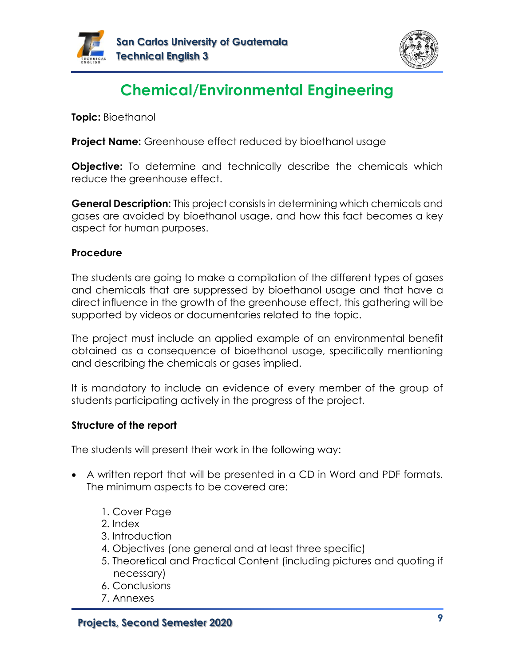



# **Chemical/Environmental Engineering**

**Topic:** Bioethanol

**Project Name:** Greenhouse effect reduced by bioethanol usage

**Objective:** To determine and technically describe the chemicals which reduce the greenhouse effect.

**General Description:** This project consists in determining which chemicals and gases are avoided by bioethanol usage, and how this fact becomes a key aspect for human purposes.

#### **Procedure**

The students are going to make a compilation of the different types of gases and chemicals that are suppressed by bioethanol usage and that have a direct influence in the growth of the greenhouse effect, this gathering will be supported by videos or documentaries related to the topic.

The project must include an applied example of an environmental benefit obtained as a consequence of bioethanol usage, specifically mentioning and describing the chemicals or gases implied.

It is mandatory to include an evidence of every member of the group of students participating actively in the progress of the project.

#### **Structure of the report**

- A written report that will be presented in a CD in Word and PDF formats. The minimum aspects to be covered are:
	- 1. Cover Page
	- 2. Index
	- 3. Introduction
	- 4. Objectives (one general and at least three specific)
	- 5. Theoretical and Practical Content (including pictures and quoting if necessary)
	- 6. Conclusions
	- 7. Annexes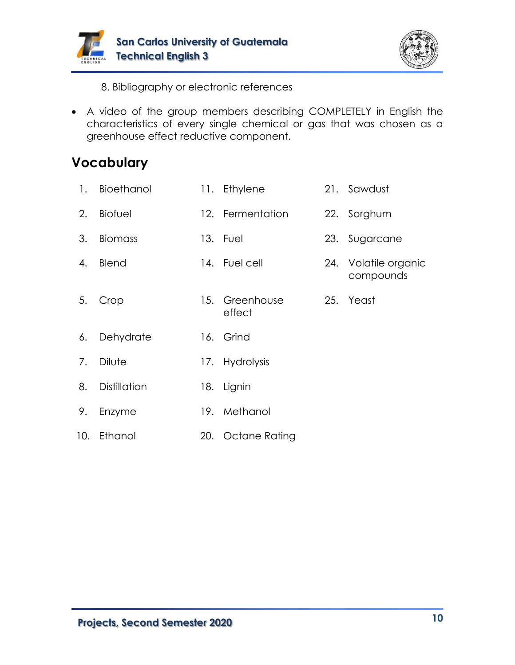



8. Bibliography or electronic references

• A video of the group members describing COMPLETELY in English the characteristics of every single chemical or gas that was chosen as a greenhouse effect reductive component.

| 1. | Bioethanol          | 11. Ethylene             | 21. Sawdust                       |
|----|---------------------|--------------------------|-----------------------------------|
| 2. | <b>Biofuel</b>      | 12. Fermentation         | 22. Sorghum                       |
| 3. | <b>Biomass</b>      | 13. Fuel                 | 23. Sugarcane                     |
| 4. | <b>Blend</b>        | 14. Fuel cell            | 24. Volatile organic<br>compounds |
| 5. | Crop                | 15. Greenhouse<br>effect | 25. Yeast                         |
| 6. | Dehydrate           | 16. Grind                |                                   |
| 7. | Dilute              | 17. Hydrolysis           |                                   |
| 8. | <b>Distillation</b> | 18. Lignin               |                                   |
| 9. | Enzyme              | 19. Methanol             |                                   |
|    | 10. Ethanol         | 20. Octane Rating        |                                   |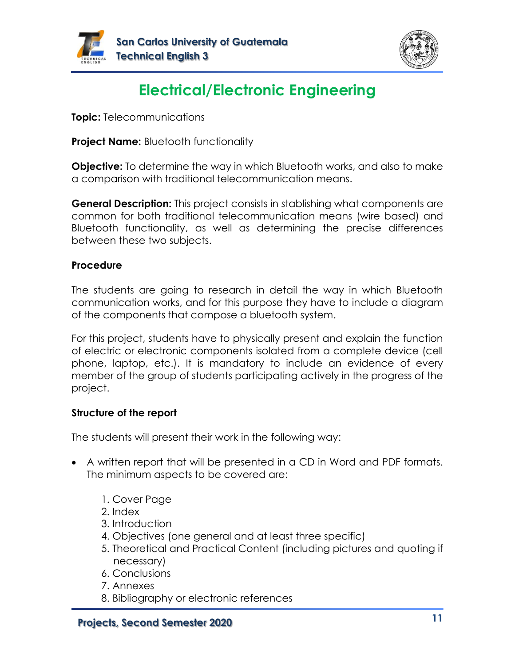



# **Electrical/Electronic Engineering**

**Topic:** Telecommunications

**Project Name:** Bluetooth functionality

**Objective:** To determine the way in which Bluetooth works, and also to make a comparison with traditional telecommunication means.

**General Description:** This project consists in stablishing what components are common for both traditional telecommunication means (wire based) and Bluetooth functionality, as well as determining the precise differences between these two subjects.

### **Procedure**

The students are going to research in detail the way in which Bluetooth communication works, and for this purpose they have to include a diagram of the components that compose a bluetooth system.

For this project, students have to physically present and explain the function of electric or electronic components isolated from a complete device (cell phone, laptop, etc.). It is mandatory to include an evidence of every member of the group of students participating actively in the progress of the project.

### **Structure of the report**

- A written report that will be presented in a CD in Word and PDF formats. The minimum aspects to be covered are:
	- 1. Cover Page
	- 2. Index
	- 3. Introduction
	- 4. Objectives (one general and at least three specific)
	- 5. Theoretical and Practical Content (including pictures and quoting if necessary)
	- 6. Conclusions
	- 7. Annexes
	- 8. Bibliography or electronic references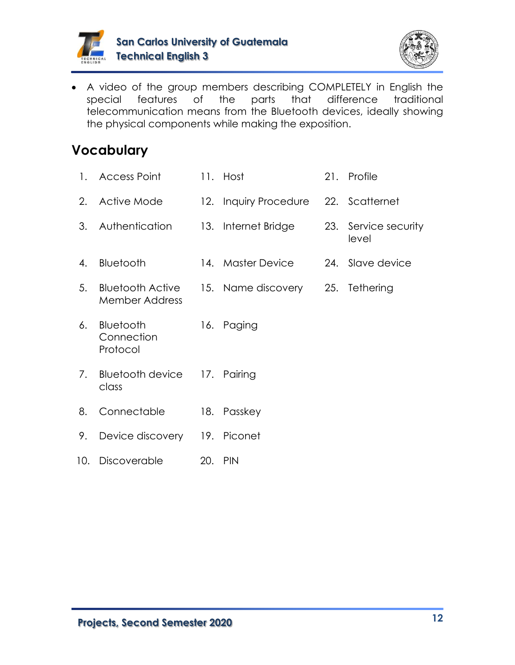



• A video of the group members describing COMPLETELY in English the special features of the parts that difference traditional telecommunication means from the Bluetooth devices, ideally showing the physical components while making the exposition.

| 1.  | <b>Access Point</b>                              | 11. Host                             | 21. Profile                   |
|-----|--------------------------------------------------|--------------------------------------|-------------------------------|
| 2.  | Active Mode                                      | 12. Inquiry Procedure 22. Scatternet |                               |
| 3.  | Authentication                                   | 13. Internet Bridge                  | 23. Service security<br>level |
| 4.  | Bluetooth                                        | 14. Master Device                    | 24. Slave device              |
| 5.  | <b>Bluetooth Active</b><br><b>Member Address</b> | 15. Name discovery                   | 25. Tethering                 |
| 6.  | Bluetooth<br>Connection<br>Protocol              | 16. Paging                           |                               |
| 7.  | <b>Bluetooth device</b><br>class                 | 17. Pairing                          |                               |
| 8.  | Connectable                                      | 18. Passkey                          |                               |
| 9.  | Device discovery 19. Piconet                     |                                      |                               |
| 10. | Discoverable                                     | 20. PIN                              |                               |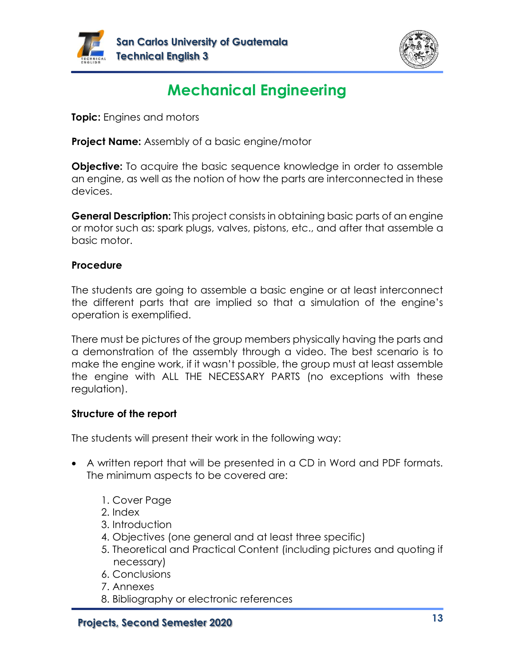



# **Mechanical Engineering**

**Topic:** Engines and motors

**Project Name:** Assembly of a basic engine/motor

**Objective:** To acquire the basic sequence knowledge in order to assemble an engine, as well as the notion of how the parts are interconnected in these devices.

**General Description:** This project consists in obtaining basic parts of an engine or motor such as: spark plugs, valves, pistons, etc., and after that assemble a basic motor.

### **Procedure**

The students are going to assemble a basic engine or at least interconnect the different parts that are implied so that a simulation of the engine's operation is exemplified.

There must be pictures of the group members physically having the parts and a demonstration of the assembly through a video. The best scenario is to make the engine work, if it wasn't possible, the group must at least assemble the engine with ALL THE NECESSARY PARTS (no exceptions with these regulation).

### **Structure of the report**

- A written report that will be presented in a CD in Word and PDF formats. The minimum aspects to be covered are:
	- 1. Cover Page
	- 2. Index
	- 3. Introduction
	- 4. Objectives (one general and at least three specific)
	- 5. Theoretical and Practical Content (including pictures and quoting if necessary)
	- 6. Conclusions
	- 7. Annexes
	- 8. Bibliography or electronic references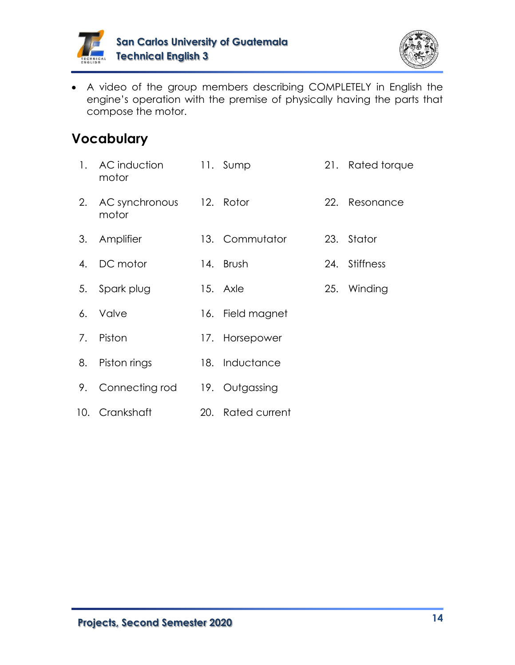



• A video of the group members describing COMPLETELY in English the engine's operation with the premise of physically having the parts that compose the motor.

| 1. | AC induction<br>motor             | 11. Sump          |     | 21. Rated torque |
|----|-----------------------------------|-------------------|-----|------------------|
| 2. | AC synchronous 12. Rotor<br>motor |                   |     | 22. Resonance    |
| 3. | Amplifier                         | 13. Commutator    | 23. | Stator           |
| 4. | DC motor                          | 14. Brush         | 24. | <b>Stiffness</b> |
| 5. | Spark plug                        | 15. Axle          |     | 25. Winding      |
| 6. | <b>Valve</b>                      | 16. Field magnet  |     |                  |
| 7. | Piston                            | 17. Horsepower    |     |                  |
| 8. | Piston rings                      | 18. Inductance    |     |                  |
| 9. | Connecting rod                    | 19. Outgassing    |     |                  |
|    | 10. Crankshaft                    | 20. Rated current |     |                  |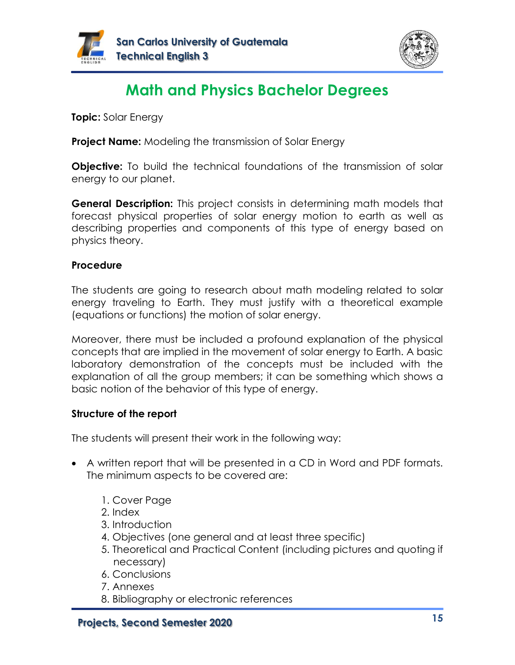



# **Math and Physics Bachelor Degrees**

**Topic:** Solar Energy

**Project Name:** Modeling the transmission of Solar Energy

**Objective:** To build the technical foundations of the transmission of solar energy to our planet.

**General Description:** This project consists in determining math models that forecast physical properties of solar energy motion to earth as well as describing properties and components of this type of energy based on physics theory.

#### **Procedure**

The students are going to research about math modeling related to solar energy traveling to Earth. They must justify with a theoretical example (equations or functions) the motion of solar energy.

Moreover, there must be included a profound explanation of the physical concepts that are implied in the movement of solar energy to Earth. A basic laboratory demonstration of the concepts must be included with the explanation of all the group members; it can be something which shows a basic notion of the behavior of this type of energy.

### **Structure of the report**

- A written report that will be presented in a CD in Word and PDF formats. The minimum aspects to be covered are:
	- 1. Cover Page
	- 2. Index
	- 3. Introduction
	- 4. Objectives (one general and at least three specific)
	- 5. Theoretical and Practical Content (including pictures and quoting if necessary)
	- 6. Conclusions
	- 7. Annexes
	- 8. Bibliography or electronic references